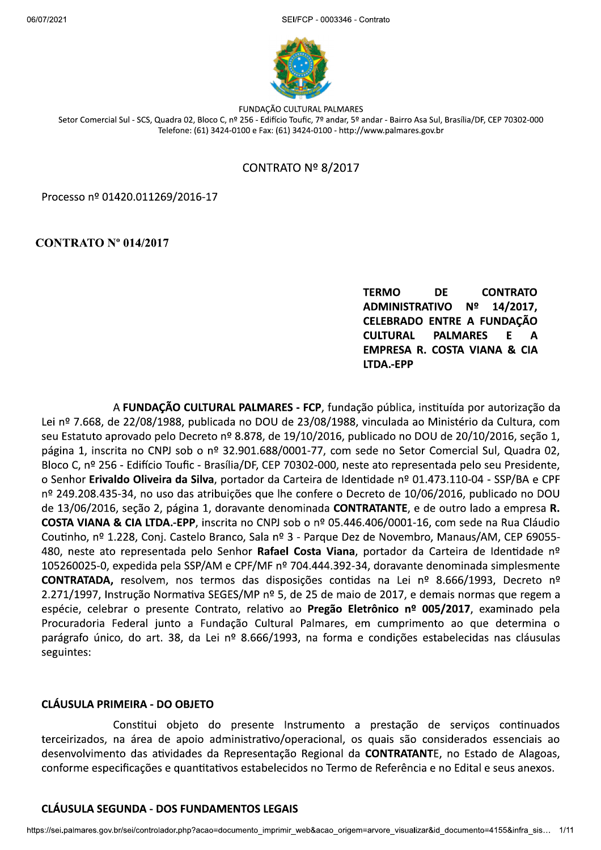

FUNDACÃO CULTURAL PALMARES Setor Comercial Sul - SCS, Quadra 02, Bloco C, nº 256 - Edifício Toufic, 7º andar, 5º andar - Bairro Asa Sul, Brasília/DF, CEP 70302-000 Telefone: (61) 3424-0100 e Fax: (61) 3424-0100 - http://www.palmares.gov.br

# CONTRATO  $N<sup>°</sup>$  8/2017

Processo nº 01420.011269/2016-17

### $CONTRATO N<sup>o</sup> 014/2017$

TERMO DE CONTRATO<br>ADMINISTRATIVO Nº 14/2017,<br>CELEBRADO\_ENTRE\_A\_FUNDAÇÃO<br>CULTURAL PALMARES E A EMPRESA R. COSTA VIANA & CIA LTDA.-EPP

A FUNDACÃO CULTURAL PALMARES - FCP, fundação pública, instituída por autorização da Lei nº 7.668, de 22/08/1988, publicada no DOU de 23/08/1988, vinculada ao Ministério da Cultura, com seu Estatuto aprovado pelo Decreto nº 8.878, de 19/10/2016, publicado no DOU de 20/10/2016, seção 1, página 1, inscrita no CNPJ sob o nº 32.901.688/0001-77, com sede no Setor Comercial Sul, Quadra 02, Bloco C, nº 256 - Edifício Toufic - Brasília/DF, CEP 70302-000, neste ato representada pelo seu Presidente, o Senhor Erivaldo Oliveira da Silva, portador da Carteira de Identidade nº 01.473.110-04 - SSP/BA e CPF nº 249.208.435-34, no uso das atribuições que lhe confere o Decreto de 10/06/2016, publicado no DOU de 13/06/2016, seção 2, página 1, doravante denominada CONTRATANTE, e de outro lado a empresa R. COSTA VIANA & CIA LTDA.-EPP, inscrita no CNPJ sob o nº 05.446.406/0001-16, com sede na Rua Cláudio 69055-Coutinho, nº 1.228, Conj. Castelo Branco, Sala nº 3 - Parque Dez de Novembro, Manaus/AM, CEP 69055-480, neste ato representada pelo Senhor Rafael Costa Viana, portador da Carteira de Identidade nº 105260025-0, expedida pela SSP/AM e CPF/MF nº 704.444.392-34, doravante denominada simplesmente CONTRATADA, resolvem, nos termos das disposições contidas na Lei nº 8.666/1993, Decreto nº 2.271/1997, Instrução Normativa SEGES/MP nº 5, de 25 de maio de 2017, e demais normas que regem a espécie, celebrar o presente Contrato, relativo ao Pregão Eletrônico nº 005/2017, examinado pela Procuradoria Federal junto a Fundação Cultural Palmares, em cumprimento ao que determina o parágrafo único, do art. 38, da Lei nº 8.666/1993, na forma e condições estabelecidas nas cláusulas seguintes:

#### CLÁUSULA PRIMEIRA - DO OBJETO

as atividades da Representação Regional da **CONTRATANTE**, no Estado de Alagoas,<br>ações e quantitativos estabelecidos no Termo de Referência e no Edital e seus anexos.<br>DA - DOS FUNDAMENTOS LEGAIS<br>controlador.php?acao=documen Constitui objeto do presente Instrumento a prestação de serviços continuados terceirizados, na área de apoio administrativo/operacional, os quais são considerados essenciais ao desenvolvimento das atividades da Representação Regional da CONTRATANTE, no Estado de Alagoas, conforme especificações e quantitativos estabelecidos no Termo de Referência e no Edital e seus anexos.

#### CLÁUSULA SEGUNDA - DOS FUNDAMENTOS LEGAIS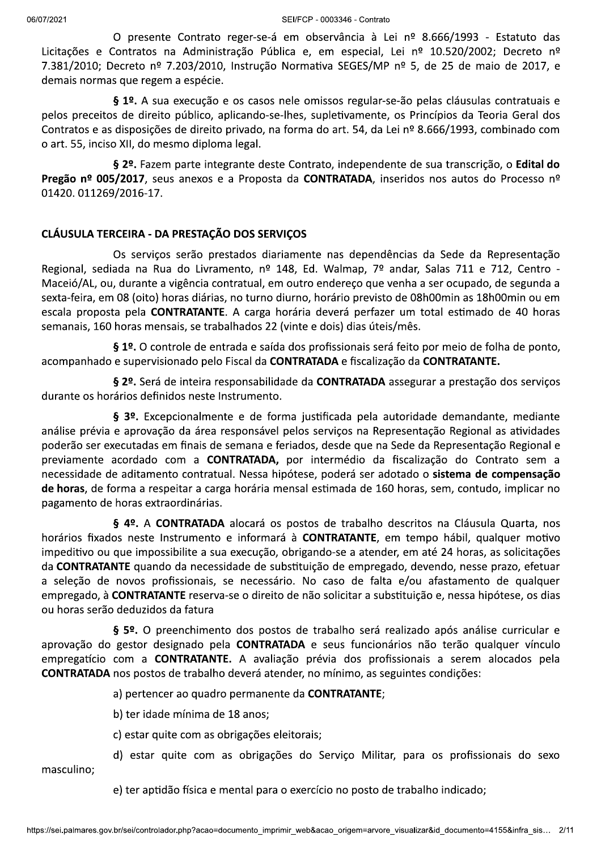SEI/FCP - 0003346 - Contrato

O presente Contrato reger-se-á em observância à Lei nº 8.666/1993 - Estatuto das Licitações e Contratos na Administração Pública e, em especial, Lei nº 10.520/2002; Decreto nº 7.381/2010; Decreto nº 7.203/2010, Instrução Normativa SEGES/MP nº 5, de 25 de maio de 2017, e demais normas que regem a espécie.

§ 1º. A sua execução e os casos nele omissos regular-se-ão pelas cláusulas contratuais e pelos preceitos de direito público, aplicando-se-lhes, supletivamente, os Princípios da Teoria Geral dos Contratos e as disposições de direito privado, na forma do art. 54, da Lei nº 8.666/1993, combinado com o art. 55, inciso XII, do mesmo diploma legal.

§ 2º. Fazem parte integrante deste Contrato, independente de sua transcrição, o Edital do Pregão nº 005/2017, seus anexos e a Proposta da CONTRATADA, inseridos nos autos do Processo nº 01420.011269/2016-17.

# CLÁUSULA TERCEIRA - DA PRESTAÇÃO DOS SERVIÇOS

Os serviços serão prestados diariamente nas dependências da Sede da Representação Regional, sediada na Rua do Livramento, nº 148, Ed. Walmap, 7º andar, Salas 711 e 712, Centro -Maceió/AL, ou, durante a vigência contratual, em outro endereço que venha a ser ocupado, de segunda a sexta-feira, em 08 (oito) horas diárias, no turno diurno, horário previsto de 08h00min as 18h00min ou em escala proposta pela CONTRATANTE. A carga horária deverá perfazer um total estimado de 40 horas semanais, 160 horas mensais, se trabalhados 22 (vinte e dois) dias úteis/mês.

§ 1º. O controle de entrada e saída dos profissionais será feito por meio de folha de ponto, acompanhado e supervisionado pelo Fiscal da CONTRATADA e fiscalização da CONTRATANTE.

§ 2º. Será de inteira responsabilidade da CONTRATADA assegurar a prestação dos serviços durante os horários definidos neste Instrumento.

§ 3º. Excepcionalmente e de forma justificada pela autoridade demandante, mediante análise prévia e aprovação da área responsável pelos serviços na Representação Regional as atividades poderão ser executadas em finais de semana e feriados, desde que na Sede da Representação Regional e previamente acordado com a CONTRATADA, por intermédio da fiscalização do Contrato sem a necessidade de aditamento contratual. Nessa hipótese, poderá ser adotado o sistema de compensação de horas, de forma a respeitar a carga horária mensal estimada de 160 horas, sem, contudo, implicar no pagamento de horas extraordinárias.

§ 4º. A CONTRATADA alocará os postos de trabalho descritos na Cláusula Quarta, nos horários fixados neste Instrumento e informará à CONTRATANTE, em tempo hábil, qualquer motivo impeditivo ou que impossibilite a sua execução, obrigando-se a atender, em até 24 horas, as solicitações da **CONTRATANTE** quando da necessidade de substituição de empregado, devendo, nesse prazo, efetuar a seleção de novos profissionais, se necessário. No caso de falta e/ou afastamento de qualquer empregado, à CONTRATANTE reserva-se o direito de não solicitar a substituição e, nessa hipótese, os dias ou horas serão deduzidos da fatura

§ 5º. O preenchimento dos postos de trabalho será realizado após análise curricular e aprovação do gestor designado pela CONTRATADA e seus funcionários não terão qualquer vínculo empregatício com a CONTRATANTE. A avaliação prévia dos profissionais a serem alocados pela **CONTRATADA** nos postos de trabalho deverá atender, no mínimo, as seguintes condições:

a) pertencer ao quadro permanente da CONTRATANTE;

b) ter idade mínima de 18 anos;

c) estar quite com as obrigações eleitorais;

d) estar quite com as obrigações do Serviço Militar, para os profissionais do sexo masculino;

e) ter aptidão física e mental para o exercício no posto de trabalho indicado;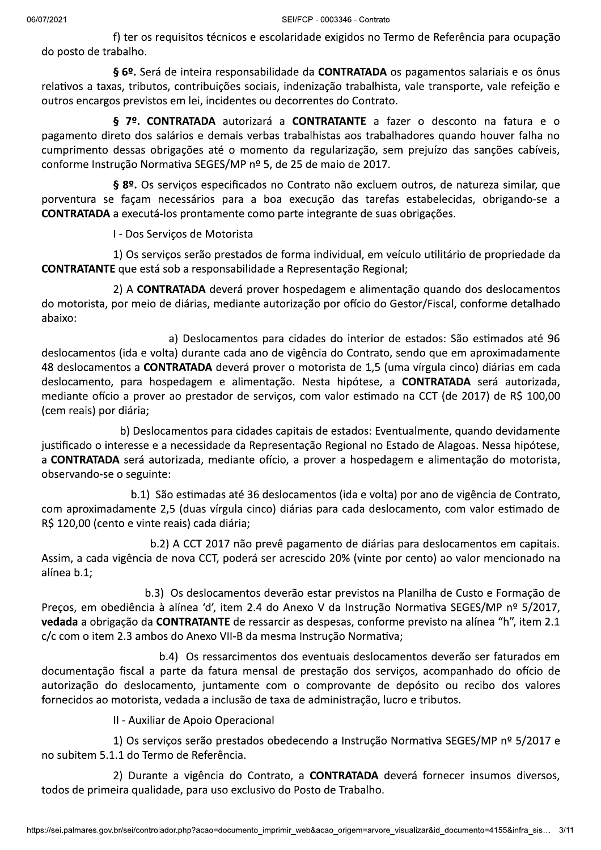f) ter os requisitos técnicos e escolaridade exigidos no Termo de Referência para ocupação do posto de trabalho.

§ 6º. Será de inteira responsabilidade da CONTRATADA os pagamentos salariais e os ônus relativos a taxas, tributos, contribuições sociais, indenização trabalhista, vale transporte, vale refeição e outros encargos previstos em lei, incidentes ou decorrentes do Contrato.

§ 7º. CONTRATADA autorizará a CONTRATANTE a fazer o desconto na fatura e o pagamento direto dos salários e demais verbas trabalhistas aos trabalhadores quando houver falha no cumprimento dessas obrigações até o momento da regularização, sem prejuízo das sanções cabíveis, conforme Instrução Normativa SEGES/MP nº 5, de 25 de maio de 2017.

§ 8º. Os servicos especificados no Contrato não excluem outros, de natureza similar, que porventura se façam necessários para a boa execução das tarefas estabelecidas, obrigando-se a CONTRATADA a executá-los prontamente como parte integrante de suas obrigações.

I - Dos Serviços de Motorista

1) Os serviços serão prestados de forma individual, em veículo utilitário de propriedade da CONTRATANTE que está sob a responsabilidade a Representação Regional;

2) A CONTRATADA deverá prover hospedagem e alimentação quando dos deslocamentos do motorista, por meio de diárias, mediante autorização por ofício do Gestor/Fiscal, conforme detalhado abaixo:

a) Deslocamentos para cidades do interior de estados: São estimados até 96 deslocamentos (ida e volta) durante cada ano de vigência do Contrato, sendo que em aproximadamente 48 deslocamentos a CONTRATADA deverá prover o motorista de 1,5 (uma vírgula cinco) diárias em cada deslocamento, para hospedagem e alimentação. Nesta hipótese, a CONTRATADA será autorizada, mediante ofício a prover ao prestador de serviços, com valor estimado na CCT (de 2017) de R\$ 100,00 (cem reais) por diária;

b) Deslocamentos para cidades capitais de estados: Eventualmente, quando devidamente justificado o interesse e a necessidade da Representação Regional no Estado de Alagoas. Nessa hipótese, a CONTRATADA será autorizada, mediante ofício, a prover a hospedagem e alimentação do motorista, observando-se o seguinte:

b.1) São estimadas até 36 deslocamentos (ida e volta) por ano de vigência de Contrato, com aproximadamente 2,5 (duas vírgula cinco) diárias para cada deslocamento, com valor estimado de R\$ 120,00 (cento e vinte reais) cada diária;

b.2) A CCT 2017 não prevê pagamento de diárias para deslocamentos em capitais. Assim, a cada vigência de nova CCT, poderá ser acrescido 20% (vinte por cento) ao valor mencionado na alínea b.1:

b.3) Os deslocamentos deverão estar previstos na Planilha de Custo e Formação de Preços, em obediência à alínea 'd', item 2.4 do Anexo V da Instrução Normativa SEGES/MP nº 5/2017, vedada a obrigação da CONTRATANTE de ressarcir as despesas, conforme previsto na alínea "h", item 2.1 c/c com o item 2.3 ambos do Anexo VII-B da mesma Instrução Normativa;

b.4) Os ressarcimentos dos eventuais deslocamentos deverão ser faturados em documentação fiscal a parte da fatura mensal de prestação dos serviços, acompanhado do ofício de autorização do deslocamento, juntamente com o comprovante de depósito ou recibo dos valores fornecidos ao motorista, vedada a inclusão de taxa de administração, lucro e tributos.

II - Auxiliar de Apoio Operacional

1) Os serviços serão prestados obedecendo a Instrução Normativa SEGES/MP nº 5/2017 e no subitem 5.1.1 do Termo de Referência.

2) Durante a vigência do Contrato, a CONTRATADA deverá fornecer insumos diversos, todos de primeira qualidade, para uso exclusivo do Posto de Trabalho.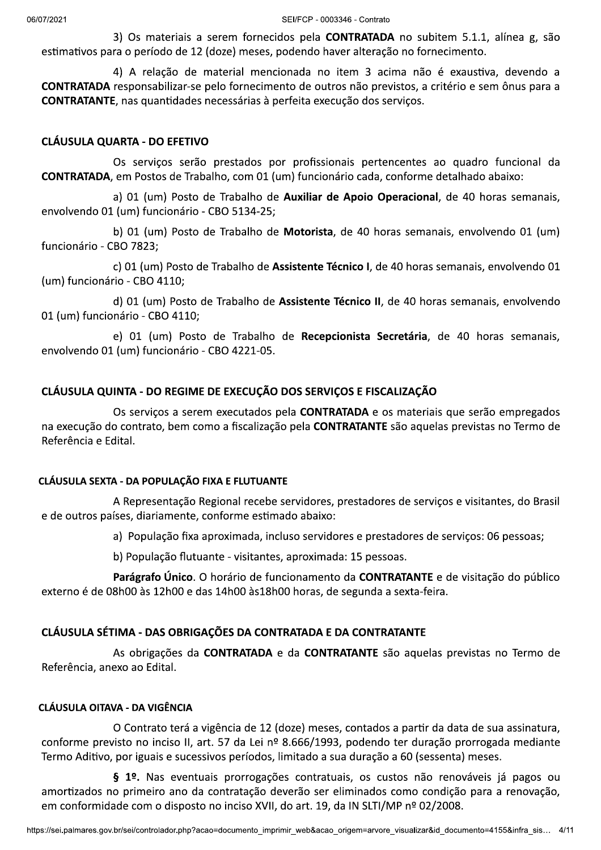3) Os materiais a serem fornecidos pela **CONTRATADA** no subitem 5.1.1, alínea g, são estimativos para o período de 12 (doze) meses, podendo haver alteração no fornecimento.

4) A relação de material mencionada no item 3 acima não é exaustiva, devendo a CONTRATADA responsabilizar-se pelo fornecimento de outros não previstos, a critério e sem ônus para a CONTRATANTE, nas quantidades necessárias à perfeita execução dos serviços.

#### **CLÁUSULA QUARTA - DO EFETIVO**

Os serviços serão prestados por profissionais pertencentes ao quadro funcional da CONTRATADA, em Postos de Trabalho, com 01 (um) funcionário cada, conforme detalhado abaixo:

a) 01 (um) Posto de Trabalho de Auxiliar de Apoio Operacional, de 40 horas semanais, envolvendo 01 (um) funcionário - CBO 5134-25;

b) 01 (um) Posto de Trabalho de Motorista, de 40 horas semanais, envolvendo 01 (um) funcionário - CBO 7823;

c) 01 (um) Posto de Trabalho de Assistente Técnico I, de 40 horas semanais, envolvendo 01 (um) funcionário - CBO 4110;

d) 01 (um) Posto de Trabalho de Assistente Técnico II, de 40 horas semanais, envolvendo 01 (um) funcionário - CBO 4110;

e) 01 (um) Posto de Trabalho de Recepcionista Secretária, de 40 horas semanais, envolvendo 01 (um) funcionário - CBO 4221-05.

#### CLÁUSULA QUINTA - DO REGIME DE EXECUÇÃO DOS SERVIÇOS E FISCALIZAÇÃO

Os serviços a serem executados pela CONTRATADA e os materiais que serão empregados na execução do contrato, bem como a fiscalização pela CONTRATANTE são aquelas previstas no Termo de Referência e Edital.

#### CLÁUSULA SEXTA - DA POPULAÇÃO FIXA E FLUTUANTE

A Representação Regional recebe servidores, prestadores de serviços e visitantes, do Brasil e de outros países, diariamente, conforme estimado abaixo:

a) População fixa aproximada, incluso servidores e prestadores de serviços: 06 pessoas;

b) População flutuante - visitantes, aproximada: 15 pessoas.

Parágrafo Único. O horário de funcionamento da CONTRATANTE e de visitação do público externo é de 08h00 às 12h00 e das 14h00 às 18h00 horas, de segunda a sexta-feira.

### CLÁUSULA SÉTIMA - DAS OBRIGAÇÕES DA CONTRATADA E DA CONTRATANTE

As obrigações da CONTRATADA e da CONTRATANTE são aquelas previstas no Termo de Referência, anexo ao Edital.

### **CLÁUSULA OITAVA - DA VIGÊNCIA**

O Contrato terá a vigência de 12 (doze) meses, contados a partir da data de sua assinatura, conforme previsto no inciso II, art. 57 da Lei nº 8.666/1993, podendo ter duração prorrogada mediante Termo Aditivo, por iguais e sucessivos períodos, limitado a sua duração a 60 (sessenta) meses.

§ 1º. Nas eventuais prorrogações contratuais, os custos não renováveis já pagos ou amortizados no primeiro ano da contratação deverão ser eliminados como condição para a renovação, em conformidade com o disposto no inciso XVII, do art. 19, da IN SLTI/MP nº 02/2008.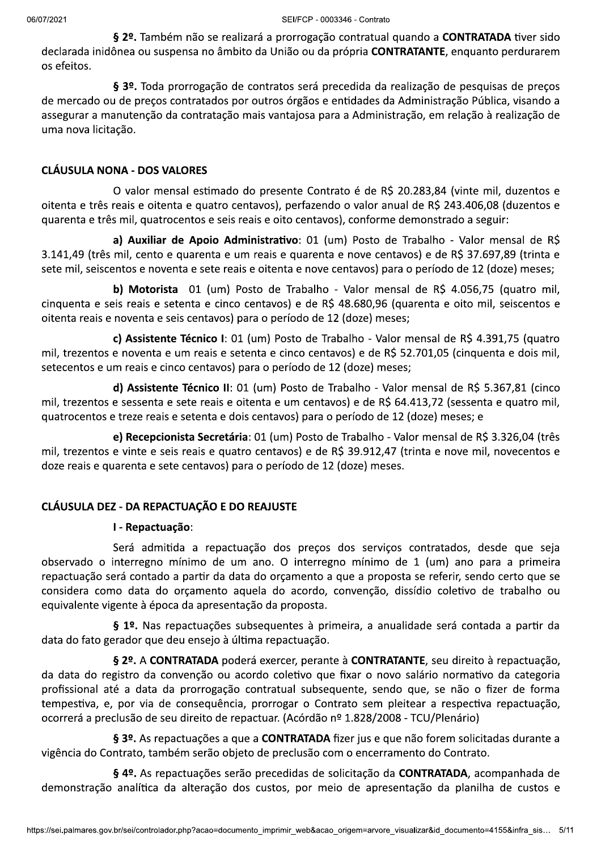§ 2º. Também não se realizará a prorrogação contratual quando a CONTRATADA tiver sido declarada inidônea ou suspensa no âmbito da União ou da própria CONTRATANTE, enquanto perdurarem os efeitos.

§ 3º. Toda prorrogação de contratos será precedida da realização de pesquisas de preços de mercado ou de preços contratados por outros órgãos e entidades da Administração Pública, visando a assegurar a manutenção da contratação mais vantajosa para a Administração, em relação à realização de uma nova licitação.

#### **CLÁUSULA NONA - DOS VALORES**

O valor mensal estimado do presente Contrato é de R\$ 20.283,84 (vinte mil, duzentos e oitenta e três reais e oitenta e quatro centavos), perfazendo o valor anual de R\$ 243.406,08 (duzentos e quarenta e três mil, quatrocentos e seis reais e oito centavos), conforme demonstrado a seguir:

a) Auxiliar de Apoio Administrativo: 01 (um) Posto de Trabalho - Valor mensal de R\$ 3.141,49 (três mil, cento e quarenta e um reais e quarenta e nove centavos) e de R\$ 37.697,89 (trinta e sete mil, seiscentos e noventa e sete reais e oitenta e nove centavos) para o período de 12 (doze) meses;

b) Motorista 01 (um) Posto de Trabalho - Valor mensal de R\$ 4.056,75 (quatro mil, cinquenta e seis reais e setenta e cinco centavos) e de R\$ 48.680,96 (quarenta e oito mil, seiscentos e oitenta reais e noventa e seis centavos) para o período de 12 (doze) meses;

c) Assistente Técnico I: 01 (um) Posto de Trabalho - Valor mensal de R\$ 4.391,75 (quatro mil, trezentos e noventa e um reais e setenta e cinco centavos) e de R\$ 52.701,05 (cinquenta e dois mil, setecentos e um reais e cinco centavos) para o período de 12 (doze) meses;

d) Assistente Técnico II: 01 (um) Posto de Trabalho - Valor mensal de R\$ 5.367,81 (cinco mil, trezentos e sessenta e sete reais e oitenta e um centavos) e de R\$ 64.413,72 (sessenta e quatro mil, quatrocentos e treze reais e setenta e dois centavos) para o período de 12 (doze) meses; e

e) Recepcionista Secretária: 01 (um) Posto de Trabalho - Valor mensal de R\$ 3.326,04 (três mil, trezentos e vinte e seis reais e quatro centavos) e de R\$ 39.912,47 (trinta e nove mil, novecentos e doze reais e quarenta e sete centavos) para o período de 12 (doze) meses.

#### **CLÁUSULA DEZ - DA REPACTUAÇÃO E DO REAJUSTE**

#### I - Repactuação:

Será admitida a repactuação dos preços dos serviços contratados, desde que seja observado o interregno mínimo de um ano. O interregno mínimo de 1 (um) ano para a primeira repactuação será contado a partir da data do orçamento a que a proposta se referir, sendo certo que se considera como data do orçamento aquela do acordo, convenção, dissídio coletivo de trabalho ou equivalente vigente à época da apresentação da proposta.

§ 1º. Nas repactuações subsequentes à primeira, a anualidade será contada a partir da data do fato gerador que deu ensejo à última repactuação.

§ 2º. A CONTRATADA poderá exercer, perante à CONTRATANTE, seu direito à repactuação, da data do registro da convenção ou acordo coletivo que fixar o novo salário normativo da categoria profissional até a data da prorrogação contratual subsequente, sendo que, se não o fizer de forma tempestiva, e, por via de conseguência, prorrogar o Contrato sem pleitear a respectiva repactuação, ocorrerá a preclusão de seu direito de repactuar. (Acórdão nº 1.828/2008 - TCU/Plenário)

§ 3º. As repactuações a que a CONTRATADA fizer jus e que não forem solicitadas durante a vigência do Contrato, também serão objeto de preclusão com o encerramento do Contrato.

§ 4º. As repactuações serão precedidas de solicitação da CONTRATADA, acompanhada de demonstração analítica da alteração dos custos, por meio de apresentação da planilha de custos e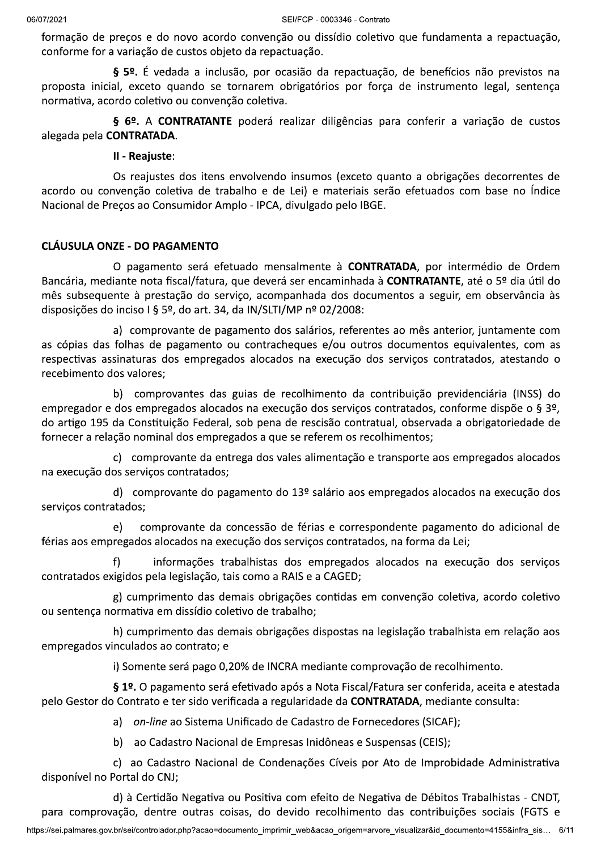formação de preços e do novo acordo convenção ou dissídio coletivo que fundamenta a repactuação, conforme for a variação de custos objeto da repactuação.

§ 5º. É vedada a inclusão, por ocasião da repactuação, de benefícios não previstos na proposta inicial, exceto quando se tornarem obrigatórios por força de instrumento legal, sentença normativa, acordo coletivo ou convenção coletiva.

§ 6º. A CONTRATANTE poderá realizar diligências para conferir a variação de custos alegada pela CONTRATADA.

#### II - Reajuste:

Os reajustes dos itens envolvendo insumos (exceto quanto a obrigações decorrentes de acordo ou convenção coletiva de trabalho e de Lei) e materiais serão efetuados com base no Índice Nacional de Precos ao Consumidor Amplo - IPCA, divulgado pelo IBGE.

#### **CLÁUSULA ONZE - DO PAGAMENTO**

O pagamento será efetuado mensalmente à **CONTRATADA**, por intermédio de Ordem Bancária, mediante nota fiscal/fatura, que deverá ser encaminhada à CONTRATANTE, até o 5º dia útil do mês subsequente à prestação do serviço, acompanhada dos documentos a seguir, em observância às disposições do inciso I § 5º, do art. 34, da IN/SLTI/MP nº 02/2008:

a) comprovante de pagamento dos salários, referentes ao mês anterior, juntamente com as cópias das folhas de pagamento ou contracheques e/ou outros documentos equivalentes, com as respectivas assinaturas dos empregados alocados na execução dos serviços contratados, atestando o recebimento dos valores;

b) comprovantes das guias de recolhimento da contribuição previdenciária (INSS) do empregador e dos empregados alocados na execução dos serviços contratados, conforme dispõe o § 3º, do artigo 195 da Constituição Federal, sob pena de rescisão contratual, observada a obrigatoriedade de fornecer a relação nominal dos empregados a que se referem os recolhimentos;

c) comprovante da entrega dos vales alimentação e transporte aos empregados alocados na execução dos serviços contratados;

d) comprovante do pagamento do 13º salário aos empregados alocados na execução dos serviços contratados:

comprovante da concessão de férias e correspondente pagamento do adicional de e) férias aos empregados alocados na execução dos serviços contratados, na forma da Lei;

informações trabalhistas dos empregados alocados na execução dos serviços f) contratados exigidos pela legislação, tais como a RAIS e a CAGED;

g) cumprimento das demais obrigações contidas em convenção coletiva, acordo coletivo ou sentença normativa em dissídio coletivo de trabalho;

h) cumprimento das demais obrigações dispostas na legislação trabalhista em relação aos empregados vinculados ao contrato; e

i) Somente será pago 0,20% de INCRA mediante comprovação de recolhimento.

§ 1º. O pagamento será efetivado após a Nota Fiscal/Fatura ser conferida, aceita e atestada pelo Gestor do Contrato e ter sido verificada a regularidade da CONTRATADA, mediante consulta:

a) on-line ao Sistema Unificado de Cadastro de Fornecedores (SICAF);

b) ao Cadastro Nacional de Empresas Inidôneas e Suspensas (CEIS);

c) ao Cadastro Nacional de Condenações Cíveis por Ato de Improbidade Administrativa disponível no Portal do CNJ;

d) à Certidão Negativa ou Positiva com efeito de Negativa de Débitos Trabalhistas - CNDT, para comprovação, dentre outras coisas, do devido recolhimento das contribuições sociais (FGTS e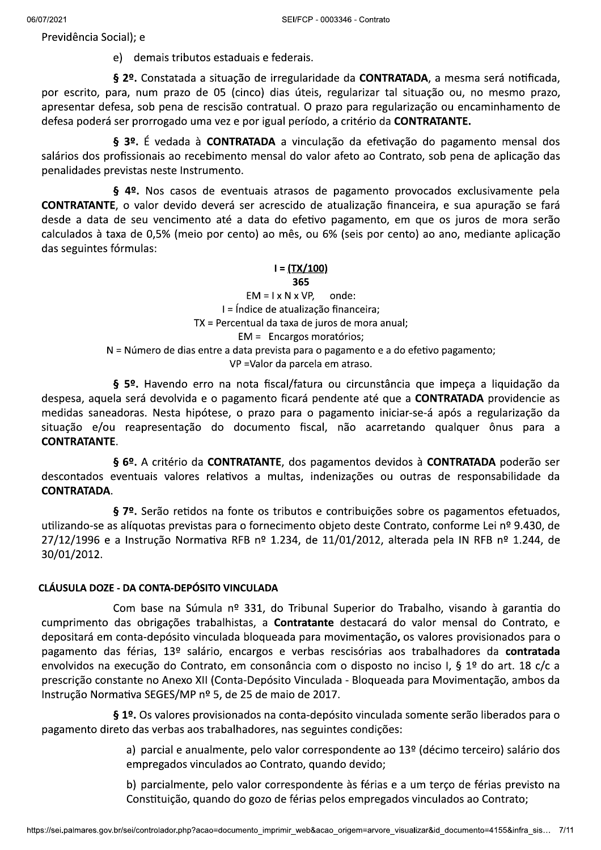Previdência Social); e

e) demais tributos estaduais e federais.

§ 2º. Constatada a situação de irregularidade da CONTRATADA, a mesma será notificada, por escrito, para, num prazo de 05 (cinco) dias úteis, regularizar tal situação ou, no mesmo prazo, apresentar defesa, sob pena de rescisão contratual. O prazo para regularização ou encaminhamento de defesa poderá ser prorrogado uma vez e por igual período, a critério da CONTRATANTE.

§ 3º. É vedada à CONTRATADA a vinculação da efetivação do pagamento mensal dos salários dos profissionais ao recebimento mensal do valor afeto ao Contrato, sob pena de aplicação das penalidades previstas neste Instrumento.

§ 4º. Nos casos de eventuais atrasos de pagamento provocados exclusivamente pela **CONTRATANTE**, o valor devido deverá ser acrescido de atualização financeira, e sua apuração se fará desde a data de seu vencimento até a data do efetivo pagamento, em que os juros de mora serão calculados à taxa de 0,5% (meio por cento) ao mês, ou 6% (seis por cento) ao ano, mediante aplicação das seguintes fórmulas:

#### <u>l = (TX/100)</u>

#### 365

 $EM = I \times N \times VP$ onde: I = Índice de atualização financeira; TX = Percentual da taxa de juros de mora anual; EM = Encargos moratórios; N = Número de dias entre a data prevista para o pagamento e a do efetivo pagamento; VP = Valor da parcela em atraso.

§ 5º. Havendo erro na nota fiscal/fatura ou circunstância que impeça a liquidação da despesa, aquela será devolvida e o pagamento ficará pendente até que a **CONTRATADA** providencie as medidas saneadoras. Nesta hipótese, o prazo para o pagamento iniciar-se-á após a regularização da situação e/ou reapresentação do documento fiscal, não acarretando qualquer ônus para a **CONTRATANTE.** 

§ 6º. A critério da CONTRATANTE, dos pagamentos devidos à CONTRATADA poderão ser descontados eventuais valores relativos a multas, indenizações ou outras de responsabilidade da **CONTRATADA.** 

§ 7º. Serão retidos na fonte os tributos e contribuições sobre os pagamentos efetuados, utilizando-se as alíquotas previstas para o fornecimento objeto deste Contrato, conforme Lei nº 9.430, de  $27/12/1996$  e a Instrução Normativa RFB nº 1.234, de 11/01/2012, alterada pela IN RFB nº 1.244, de 30/01/2012.

#### CLÁUSULA DOZE - DA CONTA-DEPÓSITO VINCULADA

Com base na Súmula nº 331, do Tribunal Superior do Trabalho, visando à garantia do cumprimento das obrigações trabalhistas, a **Contratante** destacará do valor mensal do Contrato, e depositará em conta-depósito vinculada bloqueada para movimentação, os valores provisionados para o pagamento das férias, 13º salário, encargos e verbas rescisórias aos trabalhadores da contratada envolvidos na execução do Contrato, em consonância com o disposto no inciso I, § 1º do art. 18 c/c a prescrição constante no Anexo XII (Conta-Depósito Vinculada - Bloqueada para Movimentação, ambos da Instrução Normativa SEGES/MP nº 5, de 25 de maio de 2017.

§ 1º. Os valores provisionados na conta-depósito vinculada somente serão liberados para o pagamento direto das verbas aos trabalhadores, nas seguintes condições:

> a) parcial e anualmente, pelo valor correspondente ao 13º (décimo terceiro) salário dos empregados vinculados ao Contrato, quando devido;

> b) parcialmente, pelo valor correspondente às férias e a um terço de férias previsto na Constituição, quando do gozo de férias pelos empregados vinculados ao Contrato;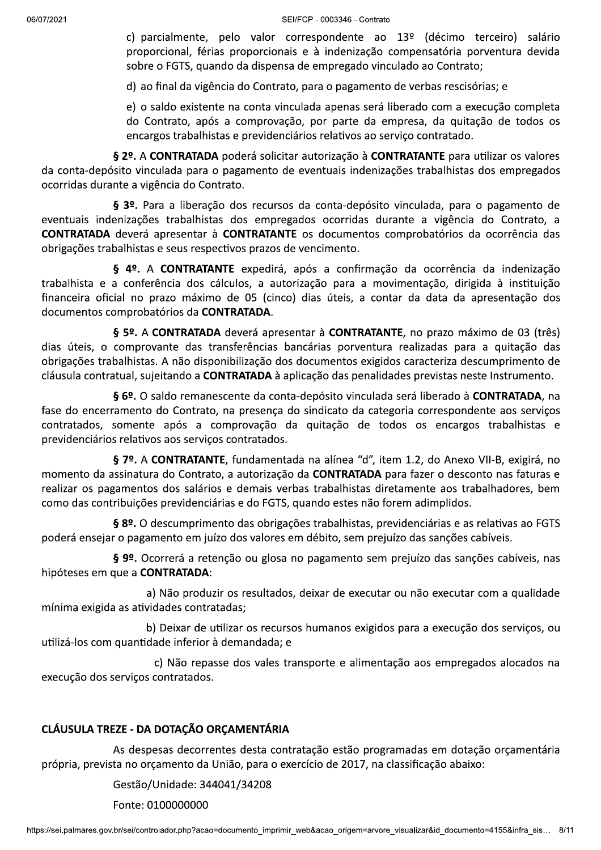c) parcialmente, pelo valor correspondente ao 13º (décimo terceiro) salário proporcional, férias proporcionais e à indenização compensatória porventura devida sobre o FGTS, quando da dispensa de empregado vinculado ao Contrato;

d) ao final da vigência do Contrato, para o pagamento de verbas rescisórias; e

e) o saldo existente na conta vinculada apenas será liberado com a execução completa do Contrato, após a comprovação, por parte da empresa, da quitação de todos os encargos trabalhistas e previdenciários relativos ao serviço contratado.

§ 2º. A CONTRATADA poderá solicitar autorização à CONTRATANTE para utilizar os valores da conta-depósito vinculada para o pagamento de eventuais indenizações trabalhistas dos empregados ocorridas durante a vigência do Contrato.

§ 3º. Para a liberação dos recursos da conta-depósito vinculada, para o pagamento de eventuais indenizações trabalhistas dos empregados ocorridas durante a vigência do Contrato, a CONTRATADA deverá apresentar à CONTRATANTE os documentos comprobatórios da ocorrência das obrigações trabalhistas e seus respectivos prazos de vencimento.

§ 4º. A CONTRATANTE expedirá, após a confirmação da ocorrência da indenização trabalhista e a conferência dos cálculos, a autorização para a movimentação, dirigida à instituição financeira oficial no prazo máximo de 05 (cinco) dias úteis, a contar da data da apresentação dos documentos comprobatórios da CONTRATADA.

§ 5º. A CONTRATADA deverá apresentar à CONTRATANTE, no prazo máximo de 03 (três) dias úteis, o comprovante das transferências bancárias porventura realizadas para a quitação das obrigações trabalhistas. A não disponibilização dos documentos exigidos caracteriza descumprimento de cláusula contratual, sujeitando a CONTRATADA à aplicação das penalidades previstas neste Instrumento.

§ 6º. O saldo remanescente da conta-depósito vinculada será liberado à CONTRATADA, na fase do encerramento do Contrato, na presença do sindicato da categoria correspondente aos serviços contratados, somente após a comprovação da quitação de todos os encargos trabalhistas e previdenciários relativos aos serviços contratados.

§ 7º. A CONTRATANTE, fundamentada na alínea "d", item 1.2, do Anexo VII-B, exigirá, no momento da assinatura do Contrato, a autorização da CONTRATADA para fazer o desconto nas faturas e realizar os pagamentos dos salários e demais verbas trabalhistas diretamente aos trabalhadores, bem como das contribuições previdenciárias e do FGTS, quando estes não forem adimplidos.

§ 8º. O descumprimento das obrigações trabalhistas, previdenciárias e as relativas ao FGTS poderá ensejar o pagamento em juízo dos valores em débito, sem prejuízo das sanções cabíveis.

§ 9º. Ocorrerá a retenção ou glosa no pagamento sem prejuízo das sanções cabíveis, nas hipóteses em que a CONTRATADA:

a) Não produzir os resultados, deixar de executar ou não executar com a qualidade mínima exigida as atividades contratadas;

b) Deixar de utilizar os recursos humanos exigidos para a execução dos serviços, ou utilizá-los com quantidade inferior à demandada; e

c) Não repasse dos vales transporte e alimentação aos empregados alocados na execução dos serviços contratados.

# CLÁUSULA TREZE - DA DOTAÇÃO ORÇAMENTÁRIA

As despesas decorrentes desta contratação estão programadas em dotação orçamentária própria, prevista no orçamento da União, para o exercício de 2017, na classificação abaixo:

Gestão/Unidade: 344041/34208

Fonte: 0100000000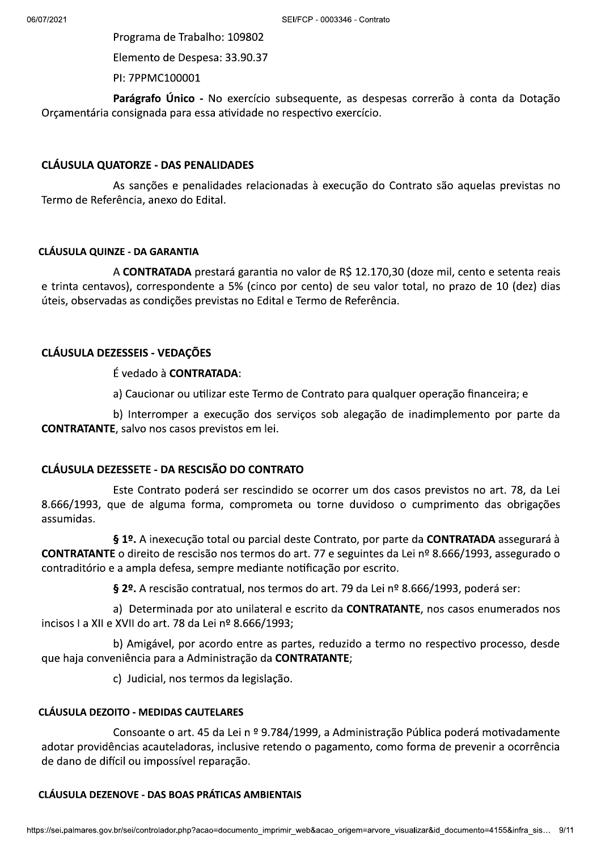Programa de Trabalho: 109802

Elemento de Despesa: 33.90.37

PI: 7PPMC100001

Parágrafo Único - No exercício subsequente, as despesas correrão à conta da Dotação Orçamentária consignada para essa atividade no respectivo exercício.

#### CLÁUSULA QUATORZE - DAS PENALIDADES

As sanções e penalidades relacionadas à execução do Contrato são aquelas previstas no Termo de Referência, anexo do Edital.

#### CLÁUSULA QUINZE - DA GARANTIA

A CONTRATADA prestará garantia no valor de R\$ 12.170,30 (doze mil, cento e setenta reais e trinta centavos), correspondente a 5% (cinco por cento) de seu valor total, no prazo de 10 (dez) dias úteis, observadas as condições previstas no Edital e Termo de Referência.

# CLÁUSULA DEZESSEIS - VEDAÇÕES

É vedado à CONTRATADA:

a) Caucionar ou utilizar este Termo de Contrato para qualquer operação financeira; e

b) Interromper a execução dos serviços sob alegação de inadimplemento por parte da CONTRATANTE, salvo nos casos previstos em lei.

# CLÁUSULA DEZESSETE - DA RESCISÃO DO CONTRATO

Este Contrato poderá ser rescindido se ocorrer um dos casos previstos no art. 78, da Lei 8.666/1993, que de alguma forma, comprometa ou torne duvidoso o cumprimento das obrigações assumidas.

§ 1º. A inexecução total ou parcial deste Contrato, por parte da CONTRATADA assegurará à CONTRATANTE o direito de rescisão nos termos do art. 77 e seguintes da Lei nº 8.666/1993, assegurado o contraditório e a ampla defesa, sempre mediante notificação por escrito.

§ 2º. A rescisão contratual, nos termos do art. 79 da Lei nº 8.666/1993, poderá ser:

a) Determinada por ato unilateral e escrito da **CONTRATANTE**, nos casos enumerados nos incisos I a XII e XVII do art. 78 da Lei nº 8.666/1993;

b) Amigável, por acordo entre as partes, reduzido a termo no respectivo processo, desde que haja conveniência para a Administração da CONTRATANTE;

c) Judicial, nos termos da legislação.

# CLAUSULA DEZONO - MEDIDAS CAUTELARES

u impossível reparação.<br>E - <mark>DAS BOAS PRÁTICAS AMBIENTAIS</mark><br>controlador.php?acao=documento\_imprimir\_web&acao\_origem=arvore\_visualizar&id\_documento=4155&infra\_sis... 9/1<sup>.</sup> Consoante o art. 45 da Lei n º 9.784/1999, a Administração Pública poderá motivadamente adotar providências acauteladoras, inclusive retendo o pagamento, como forma de prevenir a ocorrência de dano de difícil ou impossível reparação.

# CLAUSULA DEZENOVE - DAS BOAS PRATICAS AMBIENTAIS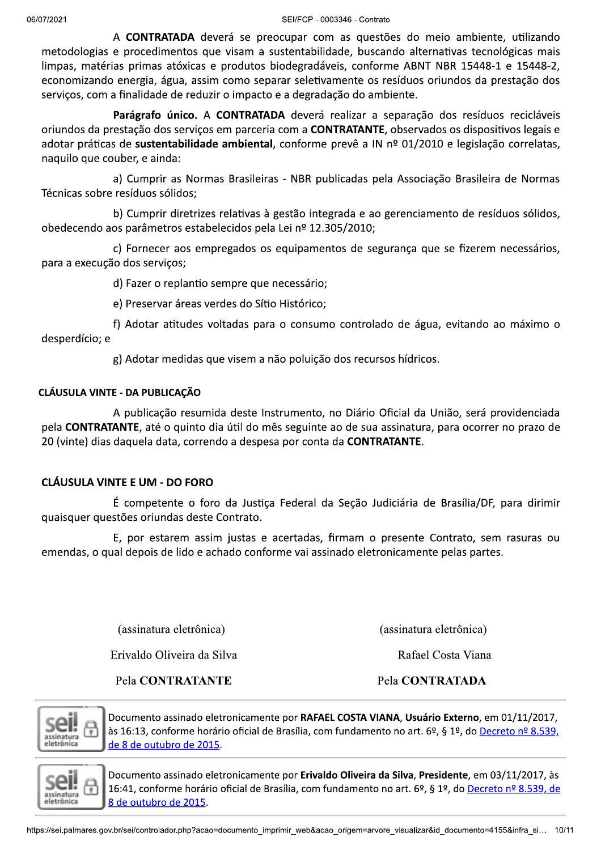SEI/FCP - 0003346 - Contrato

A CONTRATADA deverá se preocupar com as questões do meio ambiente, utilizando metodologias e procedimentos que visam a sustentabilidade, buscando alternativas tecnológicas mais limpas, matérias primas atóxicas e produtos biodegradáveis, conforme ABNT NBR 15448-1 e 15448-2, economizando energia, água, assim como separar seletivamente os resíduos oriundos da prestação dos serviços, com a finalidade de reduzir o impacto e a degradação do ambiente.

Parágrafo único. A CONTRATADA deverá realizar a separação dos resíduos recicláveis oriundos da prestação dos servicos em parceria com a **CONTRATANTE**, observados os dispositivos legais e adotar práticas de sustentabilidade ambiental, conforme prevê a IN nº 01/2010 e legislação correlatas, naquilo que couber, e ainda:

a) Cumprir as Normas Brasileiras - NBR publicadas pela Associação Brasileira de Normas Técnicas sobre resíduos sólidos;

b) Cumprir diretrizes relativas à gestão integrada e ao gerenciamento de resíduos sólidos, obedecendo aos parâmetros estabelecidos pela Lei nº 12.305/2010;

c) Fornecer aos empregados os equipamentos de segurança que se fizerem necessários, para a execução dos servicos;

d) Fazer o replantio sempre que necessário;

e) Preservar áreas verdes do Sítio Histórico;

f) Adotar atitudes voltadas para o consumo controlado de água, evitando ao máximo o desperdício; e

g) Adotar medidas que visem a não poluição dos recursos hídricos.

# **CLÁUSULA VINTE - DA PUBLICAÇÃO**

A publicação resumida deste Instrumento, no Diário Oficial da União, será providenciada pela CONTRATANTE, até o quinto dia útil do mês seguinte ao de sua assinatura, para ocorrer no prazo de 20 (vinte) dias daquela data, correndo a despesa por conta da CONTRATANTE.

# **CLÁUSULA VINTE E UM - DO FORO**

É competente o foro da Justiça Federal da Seção Judiciária de Brasília/DF, para dirimir quaisquer questões oriundas deste Contrato.

E, por estarem assim justas e acertadas, firmam o presente Contrato, sem rasuras ou emendas, o qual depois de lido e achado conforme vai assinado eletronicamente pelas partes.

(assinatura eletrônica)

Erivaldo Oliveira da Silva

Pela CONTRATANTE

(assinatura eletrônica)

Rafael Costa Viana

Pela CONTRATADA



Documento assinado eletronicamente por RAFAEL COSTA VIANA, Usuário Externo, em 01/11/2017, às 16:13, conforme horário oficial de Brasília, com fundamento no art. 6º, § 1º, do Decreto nº 8.539, de 8 de outubro de 2015.



Documento assinado eletronicamente por Erivaldo Oliveira da Silva, Presidente, em 03/11/2017, às 16:41, conforme horário oficial de Brasília, com fundamento no art. 6º, § 1º, do Decreto nº 8.539, de 8 de outubro de 2015.